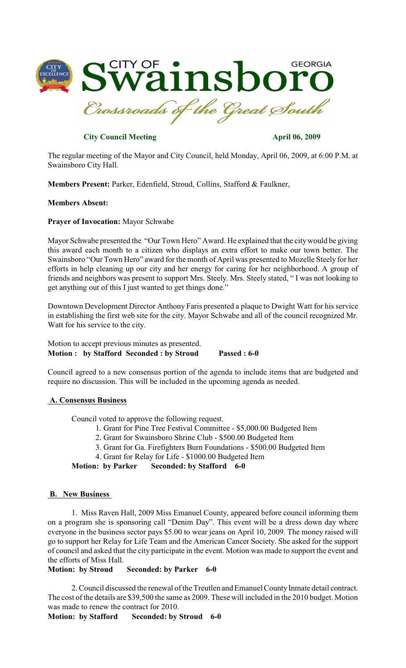

# **City Council Meeting April 06, 2009**

The regular meeting of the Mayor and City Council, held Monday, April 06, 2009, at 6:00 P.M. at Swainsboro City Hall.

**Members Present:** Parker, Edenfield, Stroud, Collins, Stafford & Faulkner,

### **Members Absent:**

**Prayer of Invocation:** Mayor Schwabe

Mayor Schwabe presented the "Our Town Hero" Award. He explained that the citywould be giving this award each month to a citizen who displays an extra effort to make our town better. The Swainsboro "Our Town Hero" award for the month of April was presented to Mozelle Steely for her efforts in help cleaning up our city and her energy for caring for her neighborhood. A group of friends and neighbors was present to support Mrs. Steely. Mrs. Steely stated, " I was not looking to get anything out of this I just wanted to get things done."

Downtown Development Director Anthony Faris presented a plaque to Dwight Watt for his service in establishing the first web site for the city. Mayor Schwabe and all of the council recognized Mr. Watt for his service to the city.

Motion to accept previous minutes as presented. **Motion : by Stafford Seconded : by Stroud Passed : 6-0**

Council agreed to a new consensus portion of the agenda to include items that are budgeted and require no discussion. This will be included in the upcoming agenda as needed.

#### **A. Consensus Business**

Council voted to approve the following request.

- 1. Grant for Pine Tree Festival Committee \$5,000.00 Budgeted Item
- 2. Grant for Swainsboro Shrine Club \$500.00 Budgeted Item
- 3. Grant for Ga. Firefighters Burn Foundations \$500.00 Budgeted Item
- 4. Grant for Relay for Life \$1000.00 Budgeted Item

**Motion: by Parker Seconded: by Stafford 6-0**

#### **B. New Business**

1. Miss Raven Hall, 2009 Miss Emanuel County, appeared before council informing them on a program she is sponsoring call "Denim Day". This event will be a dress down day where everyone in the business sector pays \$5.00 to wear jeans on April 10, 2009. The money raised will go to support her Relay for Life Team and the American Cancer Society. She asked for the support of council and asked that the city participate in the event. Motion was made to support the event and the efforts of Miss Hall.

### **Motion: by Stroud Seconded: by Parker 6-0**

2. Council discussed the renewal of the Treutlen and Emanuel County Inmate detail contract. The cost of the details are \$39,500 the same as 2009. These will included in the 2010 budget. Motion was made to renew the contract for 2010.

**Motion: by Stafford Seconded: by Stroud 6-0**